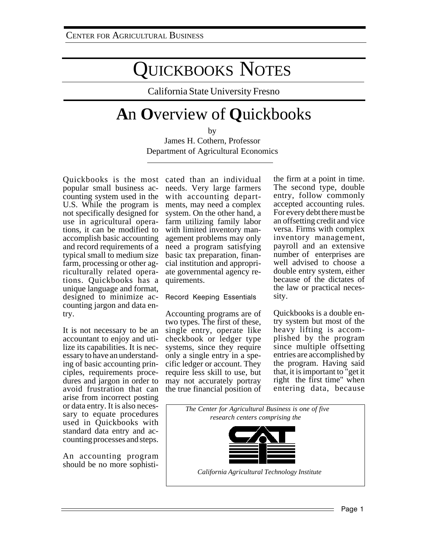# QUICKBOOKS NOTES

California State University Fresno

## **A**n **O**verview of **Q**uickbooks

by

James H. Cothern, Professor Department of Agricultural Economics

Quickbooks is the most cated than an individual popular small business accounting system used in the U.S. While the program is not specifically designed for use in agricultural operations, it can be modified to accomplish basic accounting and record requirements of a typical small to medium size farm, processing or other agriculturally related operations. Quickbooks has a unique language and format, designed to minimize accounting jargon and data entry.

It is not necessary to be an accountant to enjoy and utilize its capabilities. It is necessary to have an understanding of basic accounting principles, requirements procedures and jargon in order to avoid frustration that can arise from incorrect posting or data entry. It is also necessary to equate procedures used in Quickbooks with standard data entry and accounting processes and steps.

An accounting program should be no more sophisti-

needs. Very large farmers with accounting departments, may need a complex system. On the other hand, a farm utilizing family labor with limited inventory management problems may only need a program satisfying basic tax preparation, financial institution and appropriate governmental agency requirements.

Record Keeping Essentials

Accounting programs are of two types. The first of these, single entry, operate like checkbook or ledger type systems, since they require only a single entry in a specific ledger or account. They require less skill to use, but may not accurately portray the true financial position of

the firm at a point in time. The second type, double entry, follow commonly accepted accounting rules. For every debt there must be an offsetting credit and vice versa. Firms with complex inventory management, payroll and an extensive number of enterprises are well advised to choose a double entry system, either because of the dictates of the law or practical necessity.

Quickbooks is a double entry system but most of the heavy lifting is accomplished by the program since multiple offsetting entries are accomplished by the program. Having said that, it is important to "get it right the first time" when entering data, because

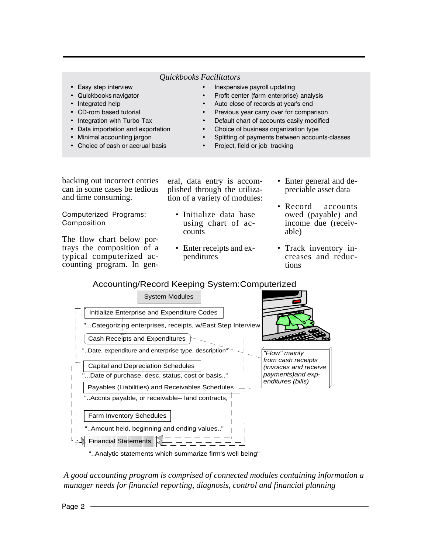#### *Quickbooks Facilitators*

- Easy step interview example and the step in the step in the step in the step in the step in the step in the step in the step in the step in the step in the step in the step in the step in the step in the step in the step
- Quickbooks naviga
- Integrated help
- CD-rom based tutoria
- Integration with Turbo Tax
- Data importation and exporta
- Minimal accounting ja
- Choice of cash or accrual basis
- ive payroll updating
- tor **by the set of the set of the set of the set of the set of the set of the set of the set of the set of the**
- ted help  $\qquad \qquad \bullet \quad$  Auto close of records at year's end
	- I extended to the Previous year carry over for comparison
		- ult chart of accounts easily modified
		- tion Choice of business organization type
	- rgon **bellet the value of payments between accounts-classes** 
		- Project, field or job tracking

backing out incorrect entries can in some cases be tedious and time consuming.

Computerized Programs: Composition

The flow chart below portrays the composition of a typical computerized accounting program. In gen-

- eral, data entry is accomplished through the utilization of a variety of modules:
	- Initialize data base using chart of accounts
	- Enter receipts and expenditures
- Enter general and depreciable asset data
- Record accounts owed (payable) and income due (receivable)
- Track inventory increases and reductions

### Accounting/Record Keeping System:Computerized



"..Analytic statements which summarize firm's well being"

*A good accounting program is comprised of connected modules containing information a manager needs for financial reporting, diagnosis, control and financial planning*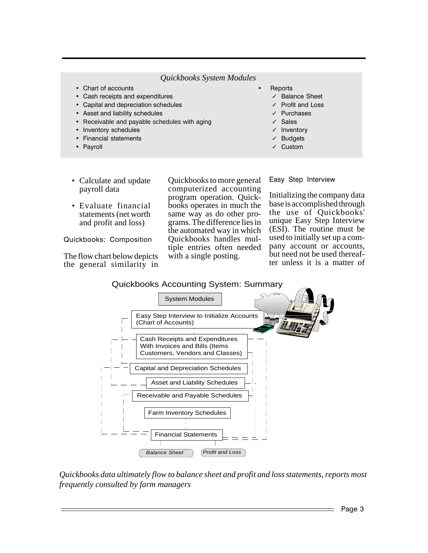#### Quickbooks System Modules

- Chart of accounts
- Cash receipts and expenditures
- Capital and depreciation schedules
- Asset and liability schedules
- Receivable and payable schedules with aging
- Inventory schedules
- Financial statements
- Payroll
	-

Reports

- √ Balance Sheet
- √ Profit and Loss
- Purchases
- **Sales**
- $\sqrt{\phantom{a}}$  Inventory
- **Budgets**
- $\checkmark$  Custom

- Calculate and update payroll data
- Evaluate financial statements (net worth) and profit and loss)

Quickbooks: Composition

The flow chart below depicts the general similarity in Quickbooks to more general computerized accounting program operation. Quickbooks operates in much the same way as do other programs. The difference lies in the automated way in which Ouickbooks handles multiple entries often needed with a single posting.

Easy Step Interview

Initializing the company data base is accomplished through the use of Quickbooks' unique Easy Step Interview (ESI). The routine must be used to initially set up a company account or accounts, but need not be used thereafter unless it is a matter of



Quickbooks data ultimately flow to balance sheet and profit and loss statements, reports most frequently consulted by farm managers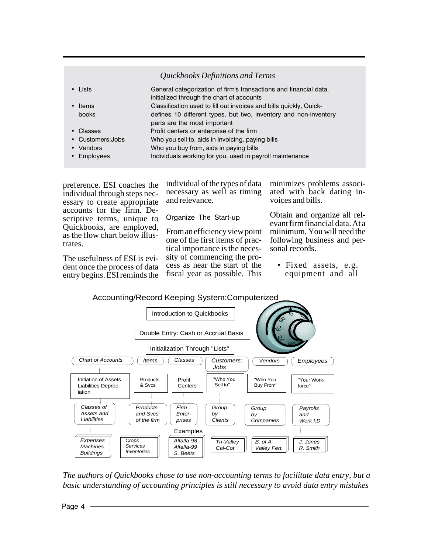### *Quickbooks Definitions and Terms*

| • Lists           | General categorization of firm's transactions and financial data,<br>initialized through the chart of accounts |
|-------------------|----------------------------------------------------------------------------------------------------------------|
| • Items           | Classification used to fill out invoices and bills quickly, Quick-                                             |
| books             | defines 10 different types, but two, inventory and non-inventory<br>parts are the most important               |
| • Classes         | Profit centers or enterprise of the firm                                                                       |
|                   |                                                                                                                |
| • Customers: Jobs | Who you sell to, aids in invoicing, paying bills                                                               |
| • Vendors         | Who you buy from, aids in paying bills                                                                         |
| • Employees       | Individuals working for you, used in payroll maintenance                                                       |

preference. ESI coaches the individual through steps necessary to create appropriate accounts for the firm. Descriptive terms, unique to Quickbooks, are employed, as the flow chart below illustrates.

The usefulness of ESI is evident once the process of data entry begins. ESI reminds the individual of the types of data necessary as well as timing and relevance.

Organize The Start-up

From an efficiency view point one of the first items of practical importance is the necessity of commencing the process as near the start of the fiscal year as possible. This minimizes problems associated with back dating invoices and bills.

Obtain and organize all relevant firm financial data. At a miinimum, You will need the following business and personal records.

• Fixed assets, e.g. equipment and all



*The authors of Quickbooks chose to use non-accounting terms to facilitate data entry, but a basic understanding of accounting principles is still necessary to avoid data entry mistakes*

Page 4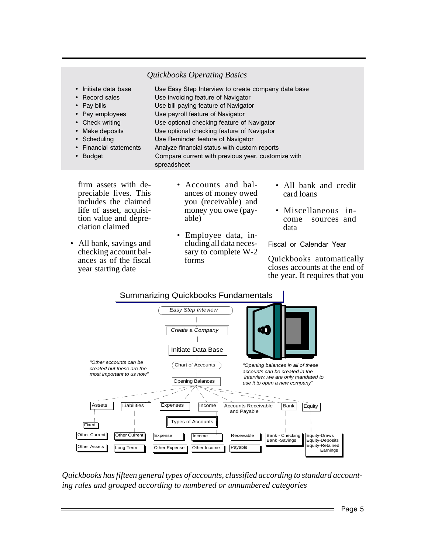#### *Quickbooks Operating Basics*

• Initiate data bas e Sombary Step Interview to create company data base • Record sales Use invoicing feature of Navigator • Pay bills Use bill paying feature of Navigator • Pay employees Use payroll feature of Navigator Check writing Use optional checking feature of Navigator • Make deposits Use optional checking feature of Navigator • Scheduling e Reminder feature of Navigator • Financial statements Analyze financial status with custom reports • Budget re current with previous year, customize with spreadsheet

firm assets with depreciable lives. This includes the claimed life of asset, acquisition value and depreciation claimed

- All bank, savings and checking account balances as of the fiscal year starting date
- Accounts and balances of money owed you (receivable) and money you owe (payable)
- Employee data, including all data necessary to complete W-2 forms
- All bank and credit card loans
- Miscellaneous income sources and data

Fiscal or Calendar Year

Quickbooks automatically closes accounts at the end of the year. It requires that you



*Quickbooks has fifteen general types of accounts, classified according to standard accounting rules and grouped according to numbered or unnumbered categories*